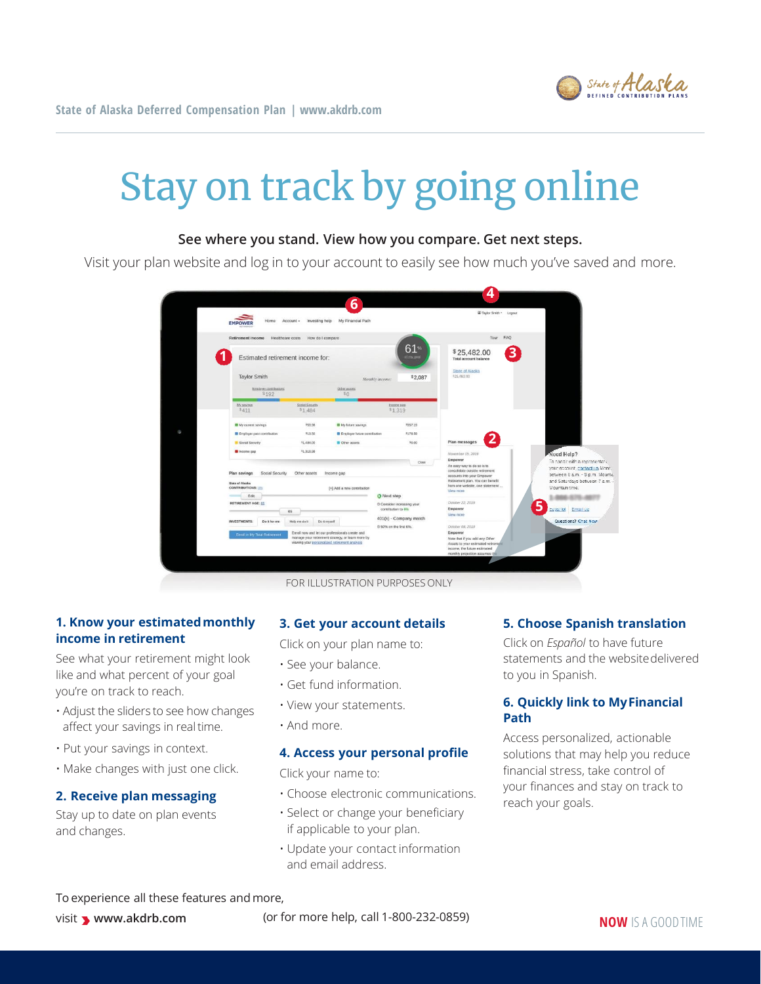

# Stay on track by going online

# **See where you stand. View how you compare. Get next steps.**

Visit your plan website and log in to your account to easily see how much you've saved and more.

|  | Home                                  | Account +<br>Investing help                     | My Financial Path                                 |                                                |                                                  | C Taylor Smith . Logout                                                                                |                                 |
|--|---------------------------------------|-------------------------------------------------|---------------------------------------------------|------------------------------------------------|--------------------------------------------------|--------------------------------------------------------------------------------------------------------|---------------------------------|
|  | Retirement income<br>Healthcare costs | How do I compare                                |                                                   |                                                |                                                  | Tour FAO                                                                                               |                                 |
|  | Estimated retirement income for:      |                                                 | $61*$<br>of my goal                               |                                                | 3<br>\$25,482.00<br><b>Total account balance</b> |                                                                                                        |                                 |
|  | <b>Taylor Smith</b>                   |                                                 |                                                   | Monthly income:                                | \$2,087                                          | State of Alaska<br>\$25,482.00                                                                         |                                 |
|  | Employer contributions<br>\$192       |                                                 | Other assets<br>SO                                |                                                |                                                  |                                                                                                        |                                 |
|  | My.amroga<br>5411                     | Social Security<br>\$1,484                      | Income.can<br>\$1,319                             |                                                |                                                  |                                                                                                        |                                 |
|  | Ny current savings                    | 153.98                                          | My future savings                                 |                                                | \$357.19                                         |                                                                                                        |                                 |
|  | Employer past contribution            | #13.50                                          | <b>B</b> Employer future contribution             |                                                | 3178.59                                          |                                                                                                        |                                 |
|  | Social Security                       | 11,484.00                                       | <b>III</b> Other assets                           |                                                | 10.00                                            | Plan messages                                                                                          |                                 |
|  | tricome gap                           | \$1,318.98                                      |                                                   |                                                |                                                  | November 05, 2019                                                                                      | Need Help?                      |
|  |                                       |                                                 |                                                   |                                                | Close                                            | Empower                                                                                                | To coopic with a representative |
|  |                                       |                                                 |                                                   |                                                |                                                  | An easy way to do so is to<br>consolidate outside retirement                                           | your account, contact us Mond-  |
|  | Plan savings<br>Social Security       | Other assets                                    | Income gap                                        |                                                |                                                  | accounts into your Empower                                                                             | between 6 a.m. - 3 p.m. Mounta  |
|  | <b>State of Alaska</b>                |                                                 |                                                   |                                                |                                                  | Retirement plan. You can benefit<br>from one website, one statement                                    | and Saturdays between 7 a.m. -  |
|  | CONTRIBUTIONS:                        |                                                 | [+] Add a new contribution                        |                                                |                                                  | View more                                                                                              | Mountain time.                  |
|  | Edit<br><b>STEP</b>                   |                                                 |                                                   | O Next step                                    |                                                  | October 22, 2019                                                                                       |                                 |
|  | RETIREMENT AGE: 65                    |                                                 |                                                   | Consider increasing your<br>contribution to 6% |                                                  | Empower                                                                                                | 5<br>Español Emailus            |
|  | 65                                    |                                                 |                                                   |                                                |                                                  | View more                                                                                              |                                 |
|  | <b>INVESTMENTS:</b><br>Do it for me   | Do it myself<br>Help me do it.                  |                                                   | 401(k) - Company match                         |                                                  |                                                                                                        | Questions? Chat Now             |
|  |                                       |                                                 |                                                   | C 50% on the first 6%.                         |                                                  | October 08, 2019                                                                                       |                                 |
|  | Enroll in My Total Retirement         | Enroll now and let our professionals create and | manage your retirement strategy, or learn more by |                                                |                                                  | Empower<br>Note that if you add any Other                                                              |                                 |
|  |                                       | viewing your personalized retirement analysis   |                                                   |                                                |                                                  | Assets to your estimated retirement<br>income, the future estimated<br>monthly projection assumes this |                                 |

FOR ILLUSTRATION PURPOSES ONLY

# **1. Know your estimatedmonthly income in retirement**

See what your retirement might look like and what percent of your goal you're on track to reach.

- Adjust the sliders to see how changes affect your savings in realtime.
- Put your savings in context.
- Make changes with just one click.

### **2. Receive plan messaging**

Stay up to date on plan events and changes.

#### **3. Get your account details**

Click on your plan name to:

- See your balance.
- Get fund information.
- View your statements.
- And more.

#### **4. Access your personal profile**

Click your name to:

- Choose electronic communications.
- Select or change your beneficiary if applicable to your plan.
- Update your contact information and email address.

#### **5. Choose Spanish translation**

Click on *Español* to have future statements and the websitedelivered to you in Spanish.

# **6. Quickly link to MyFinancial Path**

Access personalized, actionable solutions that may help you reduce financial stress, take control of your finances and stay on track to reach your goals.

To experience all these features andmore,